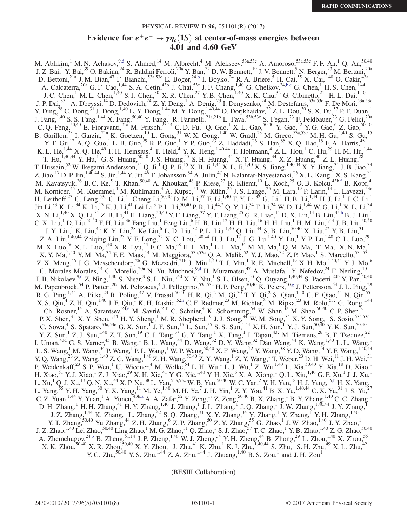### PHYSICAL REVIEW D 96, 051101(R) (2017)

# Evidence for  $e^+e^- \rightarrow \gamma \eta_c(1S)$  at center-of-mass energies between 4.01 and 4.60 GeV

<span id="page-0-5"></span><span id="page-0-4"></span><span id="page-0-2"></span>M. Ablikim, <sup>1</sup> M. N. Achasov, <sup>9[,d](#page-2-0)</sup> S. Ahmed, <sup>14</sup> M. Albrecht, <sup>4</sup> M. Alekseev,  $53a,53c$  A. Amoroso,  $53a,53c$  F. F. An, <sup>1</sup> Q. An,  $50,40$ J. Z. Bai,<sup>1</sup> Y. Bai,<sup>39</sup> O. Bakina,<sup>24</sup> R. Baldini Ferroli,<sup>20a</sup> Y. Ban,<sup>32</sup> D. W. Bennett,<sup>19</sup> J. V. Bennett,<sup>5</sup> N. Berger,<sup>23</sup> M. Bertani,<sup>20a</sup> D. Bettoni,<sup>21a</sup> J. M. Bian,<sup>47</sup> F. Bianchi,<sup>53a,53c</sup> E. Boger,<sup>2[4,b](#page-2-1)</sup> I. Boyko,<sup>24</sup> R. A. Briere,<sup>5</sup> H. Cai,<sup>55</sup> X. Cai,<sup>1,40</sup> O. Cakir,<sup>43a</sup> A. Calcaterra,  $^{20a}$  G. F. Cao,  $^{1,44}$  S. A. Cetin,  $^{43b}$  J. Chai,  $^{53c}$  J. F. Chang,  $^{1,40}$  G. Chelkov,  $^{24,b,c}$  $^{24,b,c}$  $^{24,b,c}$  G. Chen,  $^{1}$  H. S. Chen,  $^{1,44}$ J. C. Chen,<sup>1</sup> M. L. Chen,<sup>1,40</sup> S. J. Chen,<sup>30</sup> X. R. Chen,<sup>27</sup> Y. B. Chen,<sup>1,40</sup> X. K. Chu,<sup>32</sup> G. Cibinetto,<sup>21a</sup> H. L. Dai,<sup>1,40</sup> J. P. Dai,<sup>3[5,h](#page-2-2)</sup> A. Dbeyssi,<sup>14</sup> D. Dedovich,<sup>24</sup> Z. Y. Deng,<sup>1</sup> A. Denig,<sup>23</sup> I. Denysenko,<sup>24</sup> M. Destefanis,<sup>53a,53c</sup> F. De Mori,<sup>53a,53c</sup> Y. Ding,<sup>28</sup> C. Dong,<sup>31</sup> J. Dong,<sup>1,40</sup> L. Y. Dong,<sup>1,44</sup> M. Y. Dong,<sup>1,40,44</sup> O. Dorjkhaidav,<sup>22</sup> Z. L. Dou,<sup>30</sup> S. X. Du,<sup>57</sup> P. F. Duan,<sup>1</sup> J. Fang,<sup>1,40</sup> S. S. Fang,<sup>1,44</sup> X. Fang,<sup>50,40</sup> Y. Fang,<sup>1</sup> R. Farinelli,<sup>21a,21b</sup> L. Fava,<sup>53b,53c</sup> S. Fegan,<sup>23</sup> F. Feldbauer,<sup>23</sup> G. Felici,<sup>20a</sup> C. Q. Feng,<sup>50,40</sup> E. Fioravanti,<sup>21a</sup> M. Fritsch,<sup>23,14</sup> C. D. Fu,<sup>1</sup> Q. Gao,<sup>1</sup> X. L. Gao,<sup>50,40</sup> Y. Gao,<sup>42</sup> Y. G. Gao,<sup>6</sup> Z. Gao,<sup>50,40</sup> B. Garillon,<sup>23</sup> I. Garzia,<sup>21a</sup> K. Goetzen,<sup>10</sup> L. Gong,<sup>31</sup> W. X. Gong,<sup>1,40</sup> W. Gradl,<sup>23</sup> M. Greco,<sup>53a,53c</sup> M. H. Gu,<sup>1,40</sup> S. Gu,<sup>15</sup> Y. T. Gu,<sup>12</sup> A. Q. Guo,<sup>1</sup> L. B. Guo,<sup>29</sup> R. P. Guo,<sup>1</sup> Y. P. Guo,<sup>23</sup> Z. Haddadi,<sup>26</sup> S. Han,<sup>55</sup> X. Q. Hao,<sup>15</sup> F. A. Harris,<sup>45</sup> K. L. He, <sup>1,44</sup> X. Q. He, <sup>49</sup> F. H. Heinsius, <sup>4</sup> T. Held, <sup>4</sup> Y. K. Heng, <sup>1,40,44</sup> T. Holtmann, <sup>4</sup> Z. L. Hou, <sup>1</sup> C. Hu, <sup>29</sup> H. M. Hu, <sup>1,44</sup> T. Hu,<sup>1,40,44</sup> Y. Hu,<sup>1</sup> G. S. Huang,<sup>50,40</sup> J. S. Huang,<sup>15</sup> S. H. Huang,<sup>41</sup> X. T. Huang,<sup>34</sup> X. Z. Huang,<sup>30</sup> Z. L. Huang,<sup>28</sup> T. Hussain,<sup>52</sup> W. Ikegami Andersson,<sup>54</sup> Q. Ji,<sup>1</sup> Q. P. Ji,<sup>15</sup> X. B. Ji,<sup>1,44</sup> X. L. Ji,<sup>1,40</sup> X. S. Jiang,<sup>1,40,44</sup> X. Y. Jiang,<sup>31</sup> J. B. Jiao,<sup>34</sup> Z. Jiao, <sup>17</sup> D. P. Jin,<sup>1,40,44</sup> S. Jin,<sup>1,44</sup> Y. Jin,<sup>46</sup> T. Johansson,<sup>54</sup> A. Julin,<sup>47</sup> N. Kalantar-Nayestanaki,<sup>26</sup> X. L. Kang,<sup>1</sup> X. S. Kang,<sup>31</sup> M. Kavatsyuk,<sup>26</sup> B. C. Ke,<sup>5</sup> T. Khan,<sup>50,40</sup> A. Khoukaz,<sup>48</sup> P. Kiese,<sup>23</sup> R. Kliemt,<sup>10</sup> L. Koch,<sup>25</sup> O. B. Kolcu,<sup>43[b,f](#page-2-3)</sup> B. Kopf,<sup>4</sup> M. Kornicer,<sup>45</sup> M. Kuemmel,<sup>4</sup> M. Kuhlmann,<sup>4</sup> A. Kupsc,<sup>54</sup> W. Kühn,<sup>25</sup> J. S. Lange,<sup>25</sup> M. Lara,<sup>19</sup> P. Larin,<sup>14</sup> L. Lavezzi,<sup>53c</sup> H. Leithoff,<sup>23</sup> C. Leng,<sup>53c</sup> C. Li,<sup>54</sup> Cheng Li,<sup>50,40</sup> D. M. Li,<sup>57</sup> F. Li,<sup>1,40</sup> F. Y. Li,<sup>32</sup> G. Li,<sup>1</sup> H. B. Li,<sup>1,44</sup> H. J. Li,<sup>1</sup> J. C. Li,<sup>1</sup> Jin Li, $^{33}$  K. Li, $^{34}$  K. Li, $^{13}$  K. J. Li, $^{41}$  Lei Li, $^3$  P. L. Li, $^{50,40}$  P. R. Li, $^{44,7}$  Q. Y. Li, $^{34}$  T. Li, $^{34}$  W. D. Li, $^{1,44}$  W. G. Li, $^1$  X. L. Li, $^{34}$  $X.$  N. Li, $^{1,40}$  X. Q. Li, $^{31}$  Z. B. Li, $^{41}$  H. Liang, $^{50,40}$  Y. F. Liang, $^{37}$  Y. T. Liang, $^{25}$  G. R. Liao, $^{11}$  D. X. Lin, $^{14}$  B. Liu, $^{35,h}$  $^{35,h}$  $^{35,h}$  B. J. Liu, $^{1}$ C. X. Liu,<sup>1</sup> D. Liu,<sup>50,40</sup> F. H. Liu,<sup>36</sup> Fang Liu,<sup>1</sup> Feng Liu,<sup>6</sup> H. B. Liu,<sup>12</sup> H. H. Liu,<sup>16</sup> H. H. Liu,<sup>1</sup> H. M. Liu,<sup>1,44</sup> J. B. Liu,<sup>50,40</sup> J. Y. Liu,<sup>1</sup> K. Liu,<sup>42</sup> K. Y. Liu,<sup>28</sup> Ke Liu,<sup>6</sup> L. D. Liu,<sup>32</sup> P. L. Liu,<sup>1,40</sup> Q. Liu,<sup>44</sup> S. B. Liu,<sup>50,40</sup> X. Liu,<sup>27</sup> Y. B. Liu,<sup>31</sup> Z. A. Liu,<sup>1,40,44</sup> Zhiqing Liu,<sup>23</sup> Y. F. Long,<sup>32</sup> X. C. Lou,<sup>1,40,44</sup> H. J. Lu,<sup>17</sup> J. G. Lu,<sup>1,40</sup> Y. Lu,<sup>1</sup> Y. P. Lu,<sup>1,40</sup> C. L. Luo,<sup>29</sup> M. X. Luo,<sup>56</sup> X. L. Luo, <sup>1,40</sup> X. R. Lyu,<sup>44</sup> F. C. Ma,<sup>28</sup> H. L. Ma,<sup>1</sup> L. L. Ma,<sup>34</sup> M. M. Ma,<sup>1</sup> Q. M. Ma,<sup>1</sup> T. Ma,<sup>1</sup> X. N. Ma,<sup>31</sup> X. Y. Ma,  $^{1,40}$  Y. M. Ma,  $^{34}$  F. E. Maas,  $^{14}$  M. Maggiora,  $^{53a,53c}$  Q. A. Malik,  $^{52}$  Y. J. Mao,  $^{32}$  Z. P. Mao,  $^{1}$  S. Marcello,  $^{53a,53c}$ Z. X. Meng,<sup>46</sup> J. G. Messchendorp,<sup>26</sup> G. Mezzadri,<sup>21b</sup> J. Min,<sup>1,40</sup> T. J. Min,<sup>1</sup> R. E. Mitchell,<sup>19</sup> X. H. Mo,<sup>1,40,44</sup> Y. J. Mo,<sup>6</sup> C. Morales Morales,<sup>14</sup> G. Morello,<sup>20a</sup> N. Yu. Muchnoi,<sup>[9,d](#page-2-0)</sup> H. Muramatsu,<sup>47</sup> A. Mustafa,<sup>4</sup> Y. Nefedov,<sup>24</sup> F. Nerling,<sup>10</sup> I. B. Nikolaev,  $9,4$  Z. Ning,  $1,40$  S. Nisar,  $8$  S. L. Niu,  $1,40$  X. Y. Niu,  $1$  S. L. Olsen,  $33$  Q. Ouyang,  $1,40,44$  S. Pacetti,  $20$ b Y. Pan,  $50,40$ M. Papenbrock,<sup>54</sup> P. Patteri,<sup>20a</sup> M. Pelizaeus,<sup>4</sup> J. Pellegrino,<sup>53a,53c</sup> H. P. Peng,<sup>50,40</sup> K. Peters,<sup>1[0,g](#page-2-4)</sup> J. Pettersson,<sup>54</sup> J. L. Ping,<sup>29</sup> R. G. Ping,<sup>1,44</sup> A. Pitka,<sup>23</sup> R. Poling,<sup>47</sup> V. Prasad,<sup>50,40</sup> H. R. Qi,<sup>2</sup> M. Qi,<sup>30</sup> T. Y. Qi,<sup>2</sup> S. Qian,<sup>1,40</sup> C. F. Qiao,<sup>44</sup> N. Qin,<sup>55</sup> X. S. Qin,  $4$  Z. H. Qin,  $1,40$  J. F. Qiu, K. H. Rashid,  $52,1$  C. F. Redmer,  $23$  M. Richter,  $4$  M. Ripka,  $23$  M. Rolo,  $53c$  G. Rong,  $1,44$ Ch. Rosner,<sup>14</sup> A. Sarantsev,<sup>24[,e](#page-2-6)</sup> M. Savrié,<sup>21b</sup> C. Schnier,<sup>4</sup> K. Schoenning,<sup>54</sup> W. Shan,<sup>32</sup> M. Shao,<sup>50,40</sup> C. P. Shen,<sup>2</sup> P. X. Shen,<sup>31</sup> X. Y. Shen,<sup>1,44</sup> H. Y. Sheng,<sup>1</sup> M. R. Shepherd,<sup>19</sup> J. J. Song,<sup>34</sup> W. M. Song,<sup>34</sup> X. Y. Song,<sup>1</sup> S. Sosio,<sup>53a,53c</sup> C. Sowa, <sup>4</sup> S. Spataro,  $53a,53c$  G. X. Sun,<sup>1</sup> J. F. Sun,<sup>15</sup> L. Sun,<sup>55</sup> S. S. Sun,<sup>1,44</sup> X. H. Sun,<sup>1</sup> Y. J. Sun,<sup>50,40</sup> Y. K. Sun,<sup>50,40</sup> Y. Z. Sun,<sup>1</sup> Z. J. Sun,<sup>1,40</sup> Z. T. Sun,<sup>19</sup> C. J. Tang,<sup>37</sup> G. Y. Tang,<sup>1</sup> X. Tang,<sup>1</sup> I. Tapan,<sup>43c</sup> M. Tiemens,<sup>26</sup> B. T. Tsednee,<sup>22</sup> I. Uman,<sup>43d</sup> G. S. Varner,<sup>45</sup> B. Wang,<sup>1</sup> B. L. Wang,<sup>44</sup> D. Wang,<sup>32</sup> D. Y. Wang,<sup>32</sup> Dan Wang,<sup>44</sup> K. Wang,<sup>1,40</sup> L. L. Wang,<sup>1</sup> L. S. Wang,<sup>1</sup> M. Wang,<sup>34</sup> P. Wang,<sup>1</sup> P. L. Wang,<sup>1</sup> W. P. Wang,<sup>50,40</sup> X. F. Wang,<sup>42</sup> Y. Wang,<sup>38</sup> Y. D. Wang,<sup>14</sup> Y. F. Wang,<sup>1,40,44</sup> Y. Q. Wang,<sup>23</sup> Z. Wang,<sup>1,40</sup> Z. G. Wang,<sup>1,40</sup> Z. H. Wang,<sup>50,40</sup> Z. Y. Wang,<sup>1</sup> Z. Y. Wang,<sup>1</sup> T. Weber,<sup>23</sup> D. H. Wei,<sup>11</sup> J. H. Wei,<sup>31</sup> P. Weidenkaff,<sup>23</sup> S. P. Wen,<sup>1</sup> U. Wiedner,<sup>4</sup> M. Wolke,<sup>54</sup> L. H. Wu,<sup>1</sup> L. J. Wu,<sup>1</sup> Z. Wu,<sup>1,40</sup> L. Xia,<sup>50,40</sup> Y. Xia,<sup>18</sup> D. Xiao,<sup>1</sup> H. Xiao,<sup>51</sup> Y. J. Xiao,<sup>1</sup> Z. J. Xiao,<sup>29</sup> X. H. Xie,<sup>41</sup> Y. G. Xie,<sup>1,40</sup> Y. H. Xie,<sup>6</sup> X. A. Xiong,<sup>1</sup> Q. L. Xiu,<sup>1,40</sup> G. F. Xu,<sup>1</sup> J. J. Xu,<sup>1</sup> L. Xu,<sup>1</sup> Q. J. Xu,<sup>13</sup> Q. N. Xu,<sup>44</sup> X. P. Xu,<sup>38</sup> L. Yan,<sup>53a,53c</sup> W. B. Yan,<sup>50,40</sup> W. C. Yan,<sup>2</sup> Y. H. Yan,<sup>18</sup> H. J. Yang,<sup>35[,h](#page-2-2)</sup> H. X. Yang,<sup>1</sup> L. Yang,<sup>55</sup> Y. H. Yang,<sup>30</sup> Y. X. Yang,<sup>11</sup> M. Ye,<sup>1,40</sup> M. H. Ye,<sup>7</sup> J. H. Yin,<sup>1</sup> Z. Y. You,<sup>41</sup> B. X. Yu,<sup>1,40,44</sup> C. X. Yu,<sup>31</sup> J. S. Yu,<sup>77</sup> C. Z. Yuan,<sup>1,44</sup> Y. Yuan,<sup>1</sup> A. Yuncu,<sup>43[b,a](#page-2-7)</sup> A. A. Zafar,<sup>52</sup> Y. Zeng,<sup>18</sup> Z. Zeng,<sup>50,40</sup> B. X. Zhang,<sup>1</sup> B. Y. Zhang,<sup>1,40</sup> C. C. Zhang,<sup>1</sup> D. H. Zhang,<sup>1</sup> H. H. Zhang,<sup>41</sup> H. Y. Zhang,<sup>1,40</sup> J. Zhang,<sup>1</sup> J. L. Zhang,<sup>1</sup> J. Q. Zhang,<sup>1</sup> J. W. Zhang,<sup>1,40,44</sup> J. Y. Zhang,<sup>1</sup> J. Z. Zhang,<sup>1,44</sup> K. Zhang,<sup>1</sup> L. Zhang,<sup>32</sup> S. Q. Zhang,<sup>31</sup> X. Y. Zhang,<sup>34</sup> Y. Zhang,<sup>1</sup> Y. Zhang,<sup>1</sup> Y. H. Zhang,<sup>1,40</sup> Y. T. Zhang,<sup>50,40</sup> Yu Zhang,<sup>44</sup> Z. H. Zhang,<sup>6</sup> Z. P. Zhang,<sup>50</sup> Z. Y. Zhang,<sup>55</sup> G. Zhao,<sup>1</sup> J. W. Zhao,<sup>1,40</sup> J. Y. Zhao,<sup>1</sup>  $J. Z. Zhao, <sup>1,40</sup> Lei Zhao, <sup>50,40</sup> Ling Zhao, <sup>1</sup> M. G. Zhao, <sup>31</sup> Q. Zhao, <sup>1</sup> S. J. Zhao, <sup>57</sup> T. C. Zhao, <sup>1</sup> Y. B. Zhao, <sup>1,40</sup> Z. G. Zhao, <sup>50,40</sup>$ A. Zhemchugov,<sup>24[,b](#page-2-1)</sup> B. Zheng,<sup>51,14</sup> J. P. Zheng,<sup>1,40</sup> W. J. Zheng,<sup>34</sup> Y. H. Zheng,<sup>44</sup> B. Zhong,<sup>29</sup> L. Zhou,<sup>1,40</sup> X. Zhou,<sup>55</sup>  $X. K. Zhou, <sup>50,40</sup> X. R. Zhou, <sup>50,40</sup> X. Y. Zhou, <sup>1</sup> J. Zhu, <sup>41</sup> K. Zhu, <sup>1</sup> K. J. Zhu, <sup>1,40,44</sup> S. Zhu, <sup>1</sup> S. H. Zhu, <sup>49</sup> X. L. Zhu, <sup>42</sup>$ Y. C. Zhu,<sup>50,40</sup> Y. S. Zhu,<sup>1,44</sup> Z. A. Zhu,<sup>1,44</sup> J. Zhuang,<sup>1,40</sup> B. S. Zou,<sup>1</sup> and J. H. Zou<sup>1</sup>

<span id="page-0-7"></span><span id="page-0-6"></span><span id="page-0-3"></span><span id="page-0-1"></span><span id="page-0-0"></span>(BESIII Collaboration)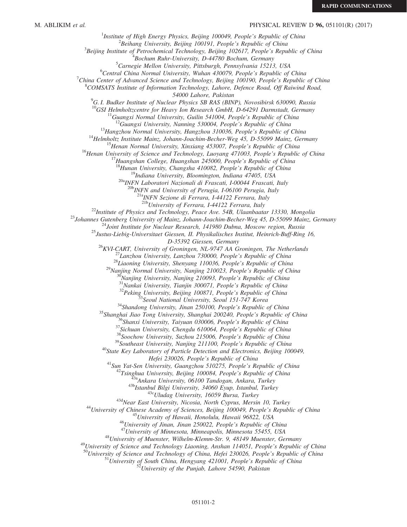# M. ABLIKIM *et al.* **PHYSICAL REVIEW D 96, 051101(R)** (2017)

<sup>1</sup>Institute of High Energy Physics, Beijing 100049, People's Republic of China  $\frac{2 \text{Poibang University}}{2}$  $B^2$ Beihang University, Beijing 100191, People's Republic of China  $3$ Beijing Institute of Petrochemical Technology, Beijing 102617, People's Republic of China  $B$ ochum Ruhr-University, D-44780 Bochum, Germany  ${}^{5}$ Carnegie Mellon University, Pittsburgh, Pennsylvania 15213, USA  ${}^{6}$ Central China Normal University, Wuhan 430079, People's Republic of China <sup>7</sup>China Center of Advanced Science and Technology, Beijing 100190, People's Republic of China  $^8$ COMSATS Institute of Information Technology, Lahore, Defence Road, Off Raiwind Road, 54000 Lahore, Pakistan<br><sup>9</sup>G. I. Budker Institute of Nuclear Physics SB RAS (BINP), Novosibirsk 630090, Russia <sup>10</sup>GSI Helmholtzcentre for Heavy Ion Research GmbH, D-64291 Darmstadt, Germany<br><sup>11</sup>Guangxi Normal University, Guilin 541004, People's Republic of China<br><sup>12</sup>Guangxi University, Nanning 530004, People's Republic of China<br><sup></sup>  $^{20a}$ INFN Laboratori Nazionali di Frascati, I-00044 Frascati, Italy<br> $^{20b}$ INFN and University of Perugia, I-06100 Perugia, Italy  $^{21a}$ INFN Sezione di Ferrara, I-44122 Ferrara, Italy<br> $^{21b}$ University of Ferrara, I-44122 Ferrara, Italy <sup>22</sup>Institute of Physics and Technology, Peace Ave. 54B, Ulaanbaatar 13330, Mongolia<br><sup>23</sup>Johannes Gutenberg University of Mainz, Johann-Joachim-Becher-Weg 45, D-55099 Mainz, Germany<br><sup>24</sup>Joint Institute for Nuclear Researc  $^{26}$ KVI-CART, University of Groningen, NL-9747 AA Groningen, The Netherlands<br>  $^{27}$ Lanzhou University, Lanzhou 730000, People's Republic of China<br>  $^{28}$ Liaoning University, Shenyang 110036, People's Republic of China<br> Hefei 230026, People's Republic of China<br>
<sup>41</sup>Sun Yat-Sen University, Guangzhou 510275, People's Republic of China<br>
<sup>42</sup>Tsinghua University, Beijing 100084, People's Republic of China<br>
<sup>42</sup>Tsinghua University, Beijing 1000 051101-2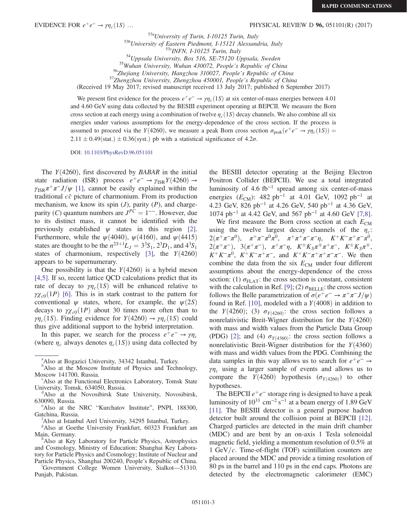EVIDENCE FOR  $e^+e^- \rightarrow \gamma \eta_c(1S) \dots$  PHYSICAL REVIEW D 96, 051101(R) (2017)

<sup>53a</sup>University of Turin, I-10125 Turin, Italy<br><sup>53b</sup>University of Eastern Piedmont, I-15121 Alessandria, Italy<br><sup>53c</sup>INFN, I-10125 Turin, Italy<br><sup>54</sup>Uppsala University, Box 516, SE-75120 Uppsala, Sweden<br><sup>55</sup>Wuhan University

(Received 19 May 2017; revised manuscript received 13 July 2017; published 6 September 2017)

We present first evidence for the process  $e^+e^- \rightarrow \gamma \eta_c(1S)$  at six center-of-mass energies between 4.01 and 4.60 GeV using data collected by the BESIII experiment operating at BEPCII. We measure the Born cross section at each energy using a combination of twelve  $\eta_c(1S)$  decay channels. We also combine all six energies under various assumptions for the energy-dependence of the cross section. If the process is assumed to proceed via the Y(4260), we measure a peak Born cross section  $\sigma_{peak}(e^+e^- \rightarrow \gamma \eta_c(1S))$  =  $2.11 \pm 0.49$ (stat.)  $\pm 0.36$ (syst.) pb with a statistical significance of 4.2 $\sigma$ .

DOI: [10.1103/PhysRevD.96.051101](https://doi.org/10.1103/PhysRevD.96.051101)

The  $Y(4260)$ , first discovered by BABAR in the initial state radiation (ISR) process  $e^+e^- \rightarrow \gamma_{\rm ISR} Y(4260) \rightarrow$  $\gamma_{\rm ISR}\pi^+\pi^-J/\psi$  [\[1\],](#page-6-0) cannot be easily explained within the traditional  $c\bar{c}$  picture of charmonium. From its production mechanism, we know its spin  $(J)$ , parity  $(P)$ , and chargeparity (C) quantum numbers are  $J^{PC} = 1^{--}$ . However, due to its distinct mass, it cannot be identified with the previously established  $\psi$  states in this region [\[2\]](#page-6-1). Furthermore, while the  $\psi(4040)$ ,  $\psi(4160)$ , and  $\psi(4415)$ states are thought to be the  $n^{2S+1}L_J = 3^3S_1$ ,  $2^3D_1$ , and  $4^3S_1$ states of charmonium, respectively [\[3\],](#page-6-2) the  $Y(4260)$ appears to be supernumerary.

One possibility is that the  $Y(4260)$  is a hybrid meson [\[4,5\].](#page-6-3) If so, recent lattice QCD calculations predict that its rate of decay to  $\gamma\eta_c(1S)$  will be enhanced relative to  $\gamma \chi_{c0}(1P)$  [\[6\]](#page-6-4). This is in stark contrast to the pattern for conventional  $\psi$  states, where, for example, the  $\psi(2S)$ decays to  $\gamma \chi_{c0}(1P)$  about 30 times more often than to  $\gamma\eta_c(1S)$ . Finding evidence for  $Y(4260) \rightarrow \gamma\eta_c(1S)$  could thus give additional support to the hybrid interpretation.

In this paper, we search for the process  $e^+e^- \rightarrow \gamma \eta_c$ (where  $\eta_c$  always denotes  $\eta_c(1S)$ ) using data collected by

<span id="page-2-4"></span>[g](#page-0-5) Also at Goethe University Frankfurt, 60323 Frankfurt am Main, Germany.

<span id="page-2-2"></span>Also at Key Laboratory for Particle Physics, Astrophysics and Cosmology, Ministry of Education; Shanghai Key Laboratory for Particle Physics and Cosmology; Institute of Nuclear and Part[i](#page-0-7)cle Physics, Shanghai 200240, People's Republic of China.

<span id="page-2-5"></span>Government College Women University, Sialkot—51310. Punjab, Pakistan.

the BESIII detector operating at the Beijing Electron Positron Collider (BEPCII). We use a total integrated luminosity of 4.6 fb<sup>-1</sup> spread among six center-of-mass energies ( $E_{CM}$ ): 482 pb<sup>-1</sup> at 4.01 GeV, 1092 pb<sup>-1</sup> at 4.23 GeV, 826 pb<sup>−</sup><sup>1</sup> at 4.26 GeV, 540 pb<sup>−</sup><sup>1</sup> at 4.36 GeV,  $1074$  pb<sup>-1</sup> at 4.42 GeV, and 567 pb<sup>-1</sup> at 4.60 GeV [\[7,8\]](#page-6-5).

We first measure the Born cross section at each  $E_{CM}$ using the twelve largest decay channels of the  $\eta_c$ :  $2(\pi^+\pi^-\pi^0), \quad \pi^+\pi^-\pi^0\bar{\pi^0}, \quad \pi^+\pi^+\pi^-\pi^-\eta, \quad K^+K^-\pi^+\pi^-\pi^0,$  $2(\pi^+\pi^-), \quad 3(\pi^+\pi^-), \quad \pi^+\pi^-\eta, \quad K^{\pm}K_S\pi^{\mp}\pi^+\pi^-, \quad K^{\pm}K_S\pi^{\mp},$  $K^+K^-\pi^0$ ,  $K^+K^-\pi^+\pi^-$ , and  $K^+K^-\pi^+\pi^+\pi^-\pi^-$ . We then combine the data from the six  $E_{CM}$  under four different assumptions about the energy-dependence of the cross section: (1)  $\sigma_{\text{FLAT}}$ : the cross section is constant, consistent with the calculation in Ref. [\[9\];](#page-6-6) (2)  $\sigma_{\text{BELLE}}$ : the cross section follows the Belle parametrization of  $\sigma(e^+e^- \to \pi^+\pi^-J/\psi)$ found in Ref. [\[10\]](#page-6-7), modeled with a  $Y(4008)$  in addition to the  $Y(4260)$ ; (3)  $\sigma_{Y(4260)}$ : the cross section follows a nonrelativistic Breit-Wigner distribution for the  $Y(4260)$ with mass and width values from the Particle Data Group (PDG) [\[2\]](#page-6-1); and (4)  $\sigma_{Y(4360)}$ : the cross section follows a nonrelativistic Breit-Wigner distribution for the  $Y(4360)$ with mass and width values from the PDG. Combining the data samples in this way allows us to search for  $e^+e^- \rightarrow$  $\gamma\eta_c$  using a larger sample of events and allows us to compare the  $Y(4260)$  hypothesis ( $\sigma_{Y(4260)}$ ) to other hypotheses.

The BEPCII  $e^+e^-$  storage ring is designed to have a peak luminosity of  $10^{33}$  cm<sup>-2</sup> s<sup>-1</sup> at a beam energy of 1.89 GeV [\[11\]](#page-6-8). The BESIII detector is a general purpose hadron detector built around the collision point at BEPCII [\[12\]](#page-6-9). Charged particles are detected in the main drift chamber (MDC) and are bent by an on-axis 1 Tesla solenoidal magnetic field, yielding a momentum resolution of 0.5% at 1 GeV/ $c$ . Time-of-flight (TOF) scintillation counters are placed around the MDC and provide a timing resolution of 80 ps in the barrel and 110 ps in the end caps. Photons are detected by the electromagnetic calorimeter (EMC)

<span id="page-2-7"></span><sup>&</sup>lt;sup>[a](#page-0-0)</sup>Also at Bogazici University, 34342 Istanbul, Turkey.

<span id="page-2-1"></span><sup>&</sup>lt;sup>[b](#page-0-1)</sup>Also at the Moscow Institute of Physics and Technology, Moscow 141700, Russia.

Also at the Functional Electronics Laboratory, Tomsk State University, Tomsk, 634050, Russia.

<span id="page-2-0"></span>Also at the Novosibirsk State University, Novosibirsk, 630090, Russia.

<span id="page-2-6"></span><sup>&</sup>lt;sup>e</sup>Also at the NRC "Kurchatov Institute", PNPI, 188300, Gatchina, Russia.

<span id="page-2-3"></span>Also at Istanbul Arel University, 34295 Istanbul, Turkey.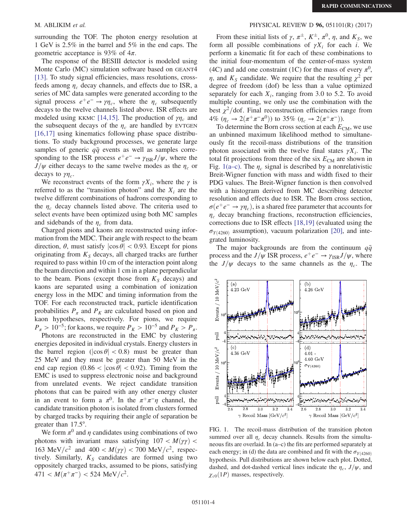surrounding the TOF. The photon energy resolution at 1 GeV is 2.5% in the barrel and 5% in the end caps. The geometric acceptance is 93% of  $4\pi$ .

The response of the BESIII detector is modeled using Monte Carlo (MC) simulation software based on GEANT4 [\[13\]](#page-6-10). To study signal efficiencies, mass resolutions, crossfeeds among  $\eta_c$  decay channels, and effects due to ISR, a series of MC data samples were generated according to the signal process  $e^+e^- \rightarrow \gamma \eta_c$ , where the  $\eta_c$  subsequently decays to the twelve channels listed above. ISR effects are modeled using KKMC [\[14,15\]](#page-6-11). The production of  $\gamma\eta_c$  and the subsequent decays of the  $\eta_c$  are handled by EVTGEN [\[16,17\]](#page-6-12) using kinematics following phase space distributions. To study background processes, we generate large samples of generic  $q\bar{q}$  events as well as samples corresponding to the ISR process  $e^+e^- \rightarrow \gamma_{\rm ISR}J/\psi$ , where the  $J/\psi$  either decays to the same twelve modes as the  $\eta_c$  or decays to  $\gamma\eta_c$ .

We reconstruct events of the form  $\gamma X_i$ , where the  $\gamma$  is referred to as the "transition photon" and the  $X_i$  are the twelve different combinations of hadrons corresponding to the  $\eta_c$  decay channels listed above. The criteria used to select events have been optimized using both MC samples and sidebands of the  $\eta_c$  from data.

Charged pions and kaons are reconstructed using information from the MDC. Their angle with respect to the beam direction,  $\theta$ , must satisfy  $|\cos \theta|$  < 0.93. Except for pions originating from  $K<sub>S</sub>$  decays, all charged tracks are further required to pass within 10 cm of the interaction point along the beam direction and within 1 cm in a plane perpendicular to the beam. Pions (except those from  $K_S$  decays) and kaons are separated using a combination of ionization energy loss in the MDC and timing information from the TOF. For each reconstructed track, particle identification probabilities  $P_{\pi}$  and  $P_K$  are calculated based on pion and kaon hypotheses, respectively. For pions, we require  $P_\pi > 10^{-5}$ ; for kaons, we require  $P_K > 10^{-5}$  and  $P_K > P_\pi$ .

Photons are reconstructed in the EMC by clustering energies deposited in individual crystals. Energy clusters in the barrel region ( $|\cos \theta|$  < 0.8) must be greater than 25 MeV and they must be greater than 50 MeV in the end cap region  $(0.86 < |\cos \theta| < 0.92)$ . Timing from the EMC is used to suppress electronic noise and background from unrelated events. We reject candidate transition photons that can be paired with any other energy cluster in an event to form a  $\pi^0$ . In the  $\pi^+\pi^-\eta$  channel, the candidate transition photon is isolated from clusters formed by charged tracks by requiring their angle of separation be greater than 17.5°.

We form  $\pi^0$  and  $\eta$  candidates using combinations of two photons with invariant mass satisfying  $107 < M(\gamma\gamma)$ 163 MeV/ $c^2$  and 400 <  $M(\gamma\gamma)$  < 700 MeV/ $c^2$ , respectively. Similarly,  $K_S$  candidates are formed using two oppositely charged tracks, assumed to be pions, satisfying  $471 < M(\pi^+\pi^-) < 524 \text{ MeV}/c^2$ .

### M. ABLIKIM *et al.* **PHYSICAL REVIEW D 96, 051101(R) (2017) PHYSICAL REVIEW D 96, 051101(R) (2017)**

From these initial lists of  $\gamma$ ,  $\pi^{\pm}$ ,  $K^{\pm}$ ,  $\pi^0$ ,  $\eta$ , and  $K_S$ , we form all possible combinations of  $\gamma X_i$  for each i. We perform a kinematic fit for each of these combinations to the initial four-momentum of the center-of-mass system (4C) and add one constraint (1C) for the mass of every  $\pi^0$ ,  $\eta$ , and  $K_s$  candidate. We require that the resulting  $\chi^2$  per degree of freedom (dof) be less than a value optimized separately for each  $X_i$ , ranging from 3.0 to 5.2. To avoid multiple counting, we only use the combination with the best  $\chi^2$ /dof. Final reconstruction efficiencies range from 4%  $(\eta_c \to 2(\pi^+\pi^-\pi^0))$  to 35%  $(\eta_c \to 2(\pi^+\pi^-))$ .

To determine the Born cross section at each  $E_{CM}$ , we use an unbinned maximum likelihood method to simultaneously fit the recoil-mass distributions of the transition photon associated with the twelve final states  $\gamma X_i$ . The total fit projections from three of the six  $E_{CM}$  are shown in Fig. [1\(a](#page-3-0)–c). The  $\eta_c$  signal is described by a nonrelativistic Breit-Wigner function with mass and width fixed to their PDG values. The Breit-Wigner function is then convolved with a histogram derived from MC describing detector resolution and effects due to ISR. The Born cross section,  $\sigma(e^+e^- \to \gamma \eta_c)$ , is a shared free parameter that accounts for  $\eta_c$  decay branching fractions, reconstruction efficiencies, corrections due to ISR effects [\[18,19\]](#page-6-13) (evaluated using the  $\sigma_{Y(4260)}$  assumption), vacuum polarization [\[20\]](#page-6-14), and integrated luminosity.

The major backgrounds are from the continuum  $q\bar{q}$ process and the  $J/\psi$  ISR process,  $e^+e^- \rightarrow \gamma_{\rm ISR}J/\psi$ , where the  $J/\psi$  decays to the same channels as the  $\eta_c$ . The

<span id="page-3-0"></span>

FIG. 1. The recoil-mass distribution of the transition photon summed over all  $\eta_c$  decay channels. Results from the simultaneous fits are overlaid. In (a–c) the fits are performed separately at each energy; in (d) the data are combined and fit with the  $\sigma_{Y(4260)}$ hypothesis. Pull distributions are shown below each plot. Dotted, dashed, and dot-dashed vertical lines indicate the  $\eta_c$ ,  $J/\psi$ , and  $\chi_{c0}(1P)$  masses, respectively.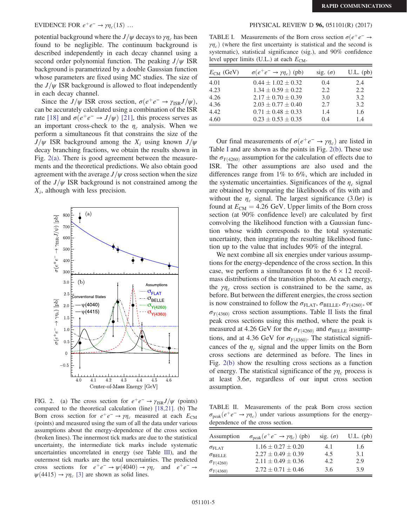potential background where the  $J/\psi$  decays to  $\gamma\eta_c$  has been found to be negligible. The continuum background is described independently in each decay channel using a second order polynomial function. The peaking  $J/\psi$  ISR background is parametrized by a double Gaussian function whose parameters are fixed using MC studies. The size of the  $J/\psi$  ISR background is allowed to float independently in each decay channel.

Since the  $J/\psi$  ISR cross section,  $\sigma(e^+e^- \rightarrow \gamma_{\rm ISR}J/\psi)$ , can be accurately calculated using a combination of the ISR rate [\[18\]](#page-6-13) and  $\sigma(e^+e^- \rightarrow J/\psi)$  [\[21\],](#page-6-15) this process serves as an important cross-check to the  $\eta_c$  analysis. When we perform a simultaneous fit that constrains the size of the  $J/\psi$  ISR background among the  $X_i$  using known  $J/\psi$ decay branching fractions, we obtain the results shown in Fig.  $2(a)$ . There is good agreement between the measurements and the theoretical predictions. We also obtain good agreement with the average  $J/\psi$  cross section when the size of the  $J/\psi$  ISR background is not constrained among the  $X_i$ , although with less precision.

<span id="page-4-0"></span>

FIG. 2. (a) The cross section for  $e^+e^- \rightarrow \gamma_{\rm ISR}J/\psi$  (points) compared to the theoretical calculation (line) [\[18,21\].](#page-6-13) (b) The Born cross section for  $e^+e^- \rightarrow \gamma \eta_c$  measured at each  $E_{CM}$ (points) and measured using the sum of all the data under various assumptions about the energy-dependence of the cross section (broken lines). The innermost tick marks are due to the statistical uncertainty, the intermediate tick marks include systematic uncertainties uncorrelated in energy (see Table [III](#page-5-0)), and the outermost tick marks are the total uncertainties. The predicted cross sections for  $e^+e^- \rightarrow \psi(4040) \rightarrow \gamma \eta_c$  and  $e^+e^- \rightarrow$  $\psi(4415) \rightarrow \gamma \eta_c$  [\[3\]](#page-6-2) are shown as solid lines.

### EVIDENCE FOR  $e^+e^- \rightarrow \gamma \eta_c(1S)$  … PHYSICAL REVIEW D 96, 051101(R) (2017)

<span id="page-4-1"></span>TABLE I. Measurements of the Born cross section  $\sigma(e^+e^- \rightarrow$  $\gamma\eta_c$ ) (where the first uncertainty is statistical and the second is systematic), statistical significance (sig.), and 90% confidence level upper limits (U.L.) at each  $E_{CM}$ .

| $E_{CM}$ (GeV) | $\sigma(e^+e^- \rightarrow \gamma\eta_c)$ (pb) | sig. $(\sigma)$ | $U.L.$ (pb) |
|----------------|------------------------------------------------|-----------------|-------------|
| 4.01           | $0.44 \pm 1.02 \pm 0.32$                       | 0.4             | 2.4         |
| 4.23           | $1.34 \pm 0.59 \pm 0.22$                       | 2.2             | 2.2         |
| 4.26           | $2.17 \pm 0.70 \pm 0.39$                       | 3.0             | 3.2         |
| 4.36           | $2.03 \pm 0.77 \pm 0.40$                       | 2.7             | 3.2         |
| 4.42           | $0.71 \pm 0.48 \pm 0.33$                       | 1.4             | 1.6         |
| 4.60           | $0.23 \pm 0.53 \pm 0.35$                       | 0.4             | 1.4         |

Our final measurements of  $\sigma(e^+e^- \rightarrow \gamma\eta_c)$  are listed in Table [I](#page-4-1) and are shown as the points in Fig. [2\(b\)](#page-4-0). These use the  $\sigma_{Y(4260)}$  assumption for the calculation of effects due to ISR. The other assumptions are also used and the differences range from 1% to 6%, which are included in the systematic uncertainties. Significances of the  $\eta_c$  signal are obtained by comparing the likelihoods of fits with and without the  $\eta_c$  signal. The largest significance (3.0 $\sigma$ ) is found at  $E_{CM} = 4.26$  GeV. Upper limits of the Born cross section (at 90% confidence level) are calculated by first convolving the likelihood function with a Gaussian function whose width corresponds to the total systematic uncertainty, then integrating the resulting likelihood function up to the value that includes 90% of the integral.

We next combine all six energies under various assumptions for the energy-dependence of the cross section. In this case, we perform a simultaneous fit to the  $6 \times 12$  recoilmass distributions of the transition photon. At each energy, the  $\gamma\eta_c$  cross section is constrained to be the same, as before. But between the different energies, the cross section is now constrained to follow the  $\sigma_{\text{FLAT}}$ ,  $\sigma_{\text{BELLE}}$ ,  $\sigma_{\text{Y(4260)}}$ , or  $\sigma_{Y(4360)}$  cross section assumptions. Table [II](#page-4-2) lists the final peak cross sections using this method, where the peak is measured at 4.26 GeV for the  $\sigma_{Y(4260)}$  and  $\sigma_{BELLE}$  assumptions, and at 4.36 GeV for  $\sigma_{Y(4360)}$ . The statistical significances of the  $\eta_c$  signal and the upper limits on the Born cross sections are determined as before. The lines in Fig. [2\(b\)](#page-4-0) show the resulting cross sections as a function of energy. The statistical significance of the  $\gamma\eta_c$  process is at least 3.6σ, regardless of our input cross section assumption.

<span id="page-4-2"></span>TABLE II. Measurements of the peak Born cross section  $\sigma_{\rm peak}(e^+e^- \rightarrow \gamma \eta_c)$  under various assumptions for the energydependence of the cross section.

| Assumption              | $\sigma_{\rm peak}(e^+e^- \rightarrow \gamma \eta_c)$ (pb) | sig. $(\sigma)$ | $U.L.$ (pb) |
|-------------------------|------------------------------------------------------------|-----------------|-------------|
| $\sigma_{\text{FI,AT}}$ | $1.16 \pm 0.27 \pm 0.20$                                   | 4.1             | 1.6         |
| $\sigma_{\rm BELLE}$    | $2.27 \pm 0.49 \pm 0.39$                                   | 4.5             | 3.1         |
| $\sigma_{Y(4260)}$      | $2.11 \pm 0.49 \pm 0.36$                                   | 4.2             | 2.9         |
| $\sigma_{Y(4360)}$      | $2.72 \pm 0.71 \pm 0.46$                                   | 3.6             | 39          |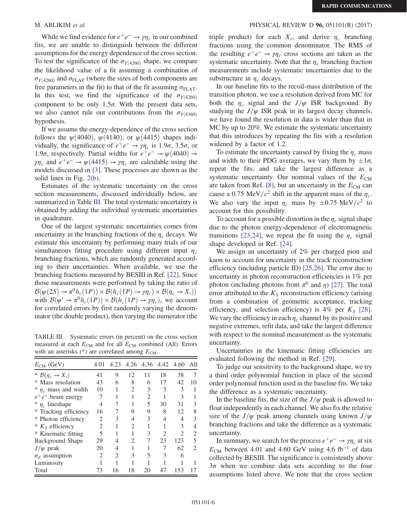While we find evidence for  $e^+e^- \rightarrow \gamma \eta_c$  in our combined fits, we are unable to distinguish between the different assumptions for the energy dependence of the cross section. To test the significance of the  $\sigma_{Y(4260)}$  shape, we compare the likelihood value of a fit assuming a combination of  $\sigma_{Y(4260)}$  and  $\sigma_{\text{FLAT}}$  (where the sizes of both components are free parameters in the fit) to that of the fit assuming  $\sigma_{\text{FLAT}}$ . In this test, we find the significance of the  $\sigma_{Y(4260)}$ component to be only  $1.5\sigma$ . With the present data sets, we also cannot rule out contributions from the  $\sigma_{Y(4360)}$ hypothesis.

If we assume the energy-dependence of the cross section follows the  $\psi(4040)$ ,  $\psi(4140)$ , or  $\psi(4415)$  shapes individually, the significance of  $e^+e^- \rightarrow \gamma \eta_c$  is 1.9 $\sigma$ , 3.5 $\sigma$ , or 1.9 $\sigma$ , respectively. Partial widths for  $e^+e^-$  →  $\psi(4040)$  →  $\gamma \eta_c$  and  $e^+e^- \to \psi(4415) \to \gamma \eta_c$  are calculable using the models discussed in [\[3\].](#page-6-2) These processes are shown as the solid lines in Fig. [2\(b\)](#page-4-0).

Estimates of the systematic uncertainty on the cross section measurements, discussed individually below, are summarized in Table [III.](#page-5-0) The total systematic uncertainty is obtained by adding the individual systematic uncertainties in quadrature.

One of the largest systematic uncertainties comes from uncertainty in the branching fractions of the  $\eta_c$  decays. We estimate this uncertainty by performing many trials of our simultaneous fitting procedure using different input  $\eta_c$ branching fractions, which are randomly generated according to their uncertainties. When available, we use the branching fractions measured by BESIII in Ref. [\[22\].](#page-6-16) Since those measurements were performed by taking the ratio of  $\mathcal{B}(\psi(2S) \to \pi^0 h_c(1P)) \times \mathcal{B}(h_c(1P) \to \gamma \eta_c) \times \mathcal{B}(\eta_c \to X_i))$ with  $\mathcal{B}(\psi' \to \pi^0 h_c(1P)) \times \mathcal{B}(h_c(1P) \to \gamma \eta_c)$ , we account for correlated errors by first randomly varying the denominator (the double product), then varying the numerator (the

<span id="page-5-0"></span>TABLE III. Systematic errors (in percent) on the cross section measured at each  $E_{CM}$  and for all  $E_{CM}$  combined (All). Errors with an asterisks  $(*)$  are correlated among  $E_{CM}$ .

| $E_{CM}$ (GeV)                  | 4.01                          | 4.23 |    | 4.26 4.36 4.42 4.60 |    |               | All                         |
|---------------------------------|-------------------------------|------|----|---------------------|----|---------------|-----------------------------|
| * $\mathcal{B}(\eta_c \to X_i)$ | 41                            | 9    | 12 | 11                  | 18 | 38            |                             |
| * Mass resolution               | 43                            | 6    | 8  | 6                   | 17 | 42            | 10                          |
| * $\eta_c$ mass and width       | 10                            |      | 2  | 3                   | 3  | 3             |                             |
| $e^+e^-$ beam energy            |                               |      |    | 2                   |    | $\mathcal{R}$ |                             |
| $*$ $\eta_c$ lineshape          | 4                             |      |    | 5                   | 30 | 31            | 3                           |
| * Tracking efficiency           | 16                            |      | 9  | 9                   | 8  | 12            | 8                           |
| * Photon efficiency             | $\mathfrak{D}_{\mathfrak{p}}$ | 3    | 4  | 3                   | 4  |               | 3                           |
| $* KS$ efficiency               | 2                             |      | 2  |                     |    | 3             |                             |
| * Kinematic fitting             | 5                             |      |    | 3                   | 2  | 2             | 2                           |
| Background Shape                | 29                            | 4    | 2  |                     | 23 | 123           | 5                           |
| $J/\psi$ peak                   | 20                            | 4    |    |                     |    | 62            | $\mathcal{D}_{\mathcal{L}}$ |
| $\sigma_F$ assumption           | 2                             | 2    | 3  | 5                   | 3  | 6             |                             |
| Luminosity                      |                               |      |    |                     |    |               |                             |
| Total                           | 73                            | 16   | 18 | 20                  | 47 | 153           |                             |

## M. ABLIKIM *et al.* **PHYSICAL REVIEW D 96, 051101(R) (2017) PHYSICAL REVIEW D 96, 051101(R) (2017)**

triple product) for each  $X_i$ , and derive  $\eta_c$  branching fractions using the common denominator. The RMS of the resulting  $e^+e^- \rightarrow \gamma \eta_c$  cross sections are taken as the systematic uncertainty. Note that the  $\eta_c$  branching fraction measurements include systematic uncertainties due to the substructure in  $\eta_c$  decays.

In our baseline fits to the recoil-mass distribution of the transition photon, we use a resolution derived from MC for both the  $\eta_c$  signal and the  $J/\psi$  ISR background. By studying the  $J/\psi$  ISR peak in its largest decay channels, we have found the resolution in data is wider than that in MC by up to 20%. We estimate the systematic uncertainty that this introduces by repeating the fits with a resolution widened by a factor of 1.2.

To estimate the uncertainty caused by fixing the  $\eta_c$  mass and width to their PDG averages, we vary them by  $\pm 1\sigma$ , repeat the fits, and take the largest difference as a systematic uncertainty. Our nominal values of the  $E_{CM}$ are taken from Ref. [\[8\]](#page-6-17), but an uncertainty in the  $E_{CM}$  can cause a 0.75 MeV/ $c^2$  shift in the apparent mass of the  $\eta_c$ . We also vary the input  $\eta_c$  mass by  $\pm 0.75 \text{ MeV}/c^2$  to account for this possibility.

To account for a possible distortion in the  $\eta_c$  signal shape due to the photon energy-dependence of electromagnetic transitions [\[23,24\]](#page-7-0), we repeat the fit using the  $\eta_c$  signal shape developed in Ref. [\[24\].](#page-7-1)

We assign an uncertainty of 2% per charged pion and kaon to account for uncertainty in the track reconstruction efficiency (including particle ID) [\[25,26\]](#page-7-2). The error due to uncertainty in photon reconstruction efficiencies is 1% per photon (including photons from  $\pi^0$  and  $\eta$ ) [\[27\].](#page-7-3) The total error attributed to the  $K<sub>S</sub>$  reconstruction efficiency (arising from a combination of geometric acceptance, tracking efficiency, and selection efficiency) is 4% per  $K_S$  [\[28\]](#page-7-4). We vary the efficiency in each  $\eta_c$  channel by its positive and negative extremes, refit data, and take the largest difference with respect to the nominal measurement as the systematic uncertainty.

Uncertainties in the kinematic fitting efficiencies are evaluated following the method in Ref. [\[29\]](#page-7-5).

To judge our sensitivity to the background shape, we try a third order polynomial function in place of the second order polynomial function used in the baseline fits. We take the difference as a systematic uncertainty.

In the baseline fits, the size of the  $J/\psi$  peak is allowed to float independently in each channel. We also fix the relative size of the  $J/\psi$  peak among channels using known  $J/\psi$ branching fractions and take the difference as a systematic uncertainty.

In summary, we search for the process  $e^+e^- \rightarrow \gamma \eta_c$  at six  $E_{\text{CM}}$  between 4.01 and 4.60 GeV using 4.6 fb<sup>-1</sup> of data collected by BESIII. The significance is consistently above  $3\sigma$  when we combine data sets according to the four assumptions listed above. We note that the cross section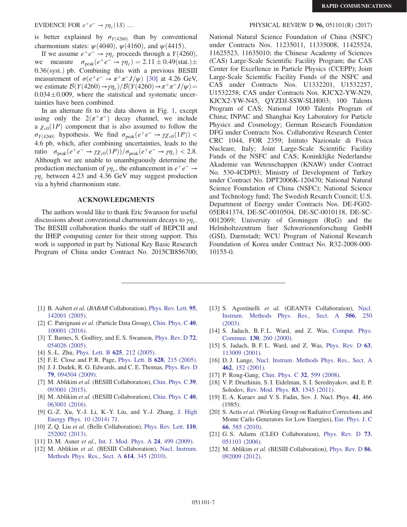EVIDENCE FOR  $e^+e^- \rightarrow \gamma \eta_c(1S)$  … PHYSICAL REVIEW D 96, 051101(R) (2017)

is better explained by  $\sigma_{Y(4260)}$  than by conventional charmonium states:  $\psi(4040)$ ,  $\psi(4160)$ , and  $\psi(4415)$ .

If we assume  $e^+e^- \rightarrow \gamma \eta_c$  proceeds through a  $Y(4260)$ ,<br>we measure  $\sigma_{\text{peak}}(e^+e^- \rightarrow \gamma \eta_c) = 2.11 \pm 0.49 \text{(stat.)} \pm$ we measure  $\sigma_{\text{peak}}(e^+e^- \rightarrow \gamma \eta_c) = 2.11 \pm 0.49 \text{(stat.)} \pm$  $0.36$ (syst.) pb. Combining this with a previous BESIII measurement of  $\sigma(e^+e^- \to \pi^+\pi^-J/\psi)$  [\[30\]](#page-7-6) at 4.26 GeV, we estimate  $\mathcal{B}(Y(4260) \rightarrow \gamma \eta_c)/\mathcal{B}(Y(4260) \rightarrow \pi^+ \pi^- J/\psi)$  $0.034 \pm 0.009$ , where the statistical and systematic uncertainties have been combined.

In an alternate fit to the data shown in Fig. [1](#page-3-0), except using only the  $2(\pi^+\pi^-)$  decay channel, we include a  $\chi_{c0}(1P)$  component that is also assumed to follow the  $\sigma_{Y(4260)}$  hypothesis. We find  $\sigma_{\text{peak}}(e^+e^- \rightarrow \gamma \chi_{c0}(1P))$  < 4.6 pb, which, after combining uncertainties, leads to the ratio  $\sigma_{\text{peak}}(e^+e^- \to \gamma \chi_{c0}(1P))/\sigma_{\text{peak}}(e^+e^- \to \gamma \eta_c) < 2.8.$ Although we are unable to unambiguously determine the production mechanism of  $\gamma \eta_c$ , the enhancement in  $e^+e^- \rightarrow$  $\gamma$ <sub>nc</sub> between 4.23 and 4.36 GeV may suggest production via a hybrid charmonium state.

### ACKNOWLEDGMENTS

The authors would like to thank Eric Swanson for useful discussions about conventional charmonium decays to  $\gamma\eta_c$ . The BESIII collaboration thanks the staff of BEPCII and the IHEP computing center for their strong support. This work is supported in part by National Key Basic Research Program of China under Contract No. 2015CB856700;

National Natural Science Foundation of China (NSFC) under Contracts Nos. 11235011, 11335008, 11425524, 11625523, 11635010; the Chinese Academy of Sciences (CAS) Large-Scale Scientific Facility Program; the CAS Center for Excellence in Particle Physics (CCEPP); Joint Large-Scale Scientific Facility Funds of the NSFC and CAS under Contracts Nos. U1332201, U1532257, U1532258; CAS under Contracts Nos. KJCX2-YW-N29, KJCX2-YW-N45, QYZDJ-SSW-SLH003; 100 Talents Program of CAS; National 1000 Talents Program of China; INPAC and Shanghai Key Laboratory for Particle Physics and Cosmology; German Research Foundation DFG under Contracts Nos. Collaborative Research Center CRC 1044, FOR 2359; Istituto Nazionale di Fisica Nucleare, Italy; Joint Large-Scale Scientific Facility Funds of the NSFC and CAS; Koninklijke Nederlandse Akademie van Wetenschappen (KNAW) under Contract No. 530-4CDP03; Ministry of Development of Turkey under Contract No. DPT2006K-120470; National Natural Science Foundation of China (NSFC); National Science and Technology fund; The Swedish Resarch Council; U.S. Department of Energy under Contracts Nos. DE-FG02- 05ER41374, DE-SC-0010504, DE-SC-0010118, DE-SC-0012069; University of Groningen (RuG) and the Helmholtzzentrum fuer Schwerionenforschung GmbH (GSI), Darmstadt; WCU Program of National Research Foundation of Korea under Contract No. R32-2008-000- 10155-0.

- <span id="page-6-0"></span>[1] B. Aubert et al. (BABAR Collaboration), [Phys. Rev. Lett.](https://doi.org/10.1103/PhysRevLett.95.142001) 95, [142001 \(2005\).](https://doi.org/10.1103/PhysRevLett.95.142001)
- <span id="page-6-1"></span>[2] C. Patrignani et al. (Particle Data Group), [Chin. Phys. C](https://doi.org/10.1088/1674-1137/40/10/100001) 40, [100001 \(2016\).](https://doi.org/10.1088/1674-1137/40/10/100001)
- <span id="page-6-2"></span>[3] T. Barnes, S. Godfrey, and E. S. Swanson, [Phys. Rev. D](https://doi.org/10.1103/PhysRevD.72.054026) 72, [054026 \(2005\).](https://doi.org/10.1103/PhysRevD.72.054026)
- <span id="page-6-3"></span>[4] S.-L. Zhu, [Phys. Lett. B](https://doi.org/10.1016/j.physletb.2005.08.068) **625**, 212 (2005).
- <span id="page-6-4"></span>[5] F. E. Close and P. R. Page, [Phys. Lett. B](https://doi.org/10.1016/j.physletb.2005.09.016) 628, 215 (2005).
- [6] J. J. Dudek, R. G. Edwards, and C. E. Thomas, [Phys. Rev. D](https://doi.org/10.1103/PhysRevD.79.094504) 79[, 094504 \(2009\).](https://doi.org/10.1103/PhysRevD.79.094504)
- <span id="page-6-5"></span>[7] M. Ablikim et al. (BESIII Collaboration), [Chin. Phys. C](https://doi.org/10.1088/1674-1137/39/9/093001) 39, [093001 \(2015\).](https://doi.org/10.1088/1674-1137/39/9/093001)
- <span id="page-6-17"></span>[8] M. Ablikim et al. (BESIII Collaboration), [Chin. Phys. C](https://doi.org/10.1088/1674-1137/40/6/063001) 40, [063001 \(2016\).](https://doi.org/10.1088/1674-1137/40/6/063001)
- <span id="page-6-6"></span>[9] G.-Z. Xu, Y.-J. Li, K.-Y. Liu, and Y.-J. Zhang, [J. High](https://doi.org/10.1007/JHEP10(2014)071) [Energy Phys. 10 \(2014\) 71.](https://doi.org/10.1007/JHEP10(2014)071)
- <span id="page-6-7"></span>[10] Z. Q. Liu et al. (Belle Collaboration), [Phys. Rev. Lett.](https://doi.org/10.1103/PhysRevLett.110.252002) 110, [252002 \(2013\).](https://doi.org/10.1103/PhysRevLett.110.252002)
- <span id="page-6-9"></span><span id="page-6-8"></span>[11] D. M. Asner *et al.*, [Int. J. Mod. Phys. A](https://doi.org/10.1142/S0217751X09046801) **24**, 499 (2009).
- [12] M. Ablikim et al. (BESIII Collaboration), [Nucl. Instrum.](https://doi.org/10.1016/j.nima.2009.12.050) [Methods Phys. Res., Sect. A](https://doi.org/10.1016/j.nima.2009.12.050) 614, 345 (2010).
- <span id="page-6-10"></span>[13] S. Agostinelli et al. (GEANT4 Collaboration), [Nucl.](https://doi.org/10.1016/S0168-9002(03)01368-8) [Instrum. Methods Phys. Res., Sect. A](https://doi.org/10.1016/S0168-9002(03)01368-8) 506, 250 [\(2003\).](https://doi.org/10.1016/S0168-9002(03)01368-8)
- <span id="page-6-11"></span>[14] S. Jadach, B. F. L. Ward, and Z. Was, [Comput. Phys.](https://doi.org/10.1016/S0010-4655(00)00048-5) Commun. 130[, 260 \(2000\)](https://doi.org/10.1016/S0010-4655(00)00048-5).
- [15] S. Jadach, B. F. L. Ward, and Z. Was, [Phys. Rev. D](https://doi.org/10.1103/PhysRevD.63.113009) 63, [113009 \(2001\).](https://doi.org/10.1103/PhysRevD.63.113009)
- <span id="page-6-12"></span>[16] D. J. Lange, [Nucl. Instrum. Methods Phys. Res., Sect. A](https://doi.org/10.1016/S0168-9002(01)00089-4) 462[, 152 \(2001\)](https://doi.org/10.1016/S0168-9002(01)00089-4).
- <span id="page-6-13"></span>[17] P. Rong-Gang, [Chin. Phys. C](https://doi.org/10.1088/1674-1137/32/8/001) 32, 599 (2008).
- [18] V. P. Druzhinin, S. I. Eidelman, S. I. Serednyakov, and E. P. Solodov, [Rev. Mod. Phys.](https://doi.org/10.1103/RevModPhys.83.1545) 83, 1545 (2011).
- [19] E. A. Kuraev and V. S. Fadin, Sov. J. Nucl. Phys. 41, 466 (1985).
- <span id="page-6-14"></span>[20] S. Actis et al. (Working Group on Radiative Corrections and Monte Carlo Generators for Low Energies), [Eur. Phys. J. C](https://doi.org/10.1140/epjc/s10052-010-1251-4) 66[, 585 \(2010\).](https://doi.org/10.1140/epjc/s10052-010-1251-4)
- <span id="page-6-15"></span>[21] G. S. Adams (CLEO Collaboration), [Phys. Rev. D](https://doi.org/10.1103/PhysRevD.73.051103) 73, [051103 \(2006\).](https://doi.org/10.1103/PhysRevD.73.051103)
- <span id="page-6-16"></span>[22] M. Ablikim et al. (BESIII Collaboration), [Phys. Rev. D](https://doi.org/10.1103/PhysRevD.86.092009) 86, [092009 \(2012\).](https://doi.org/10.1103/PhysRevD.86.092009)